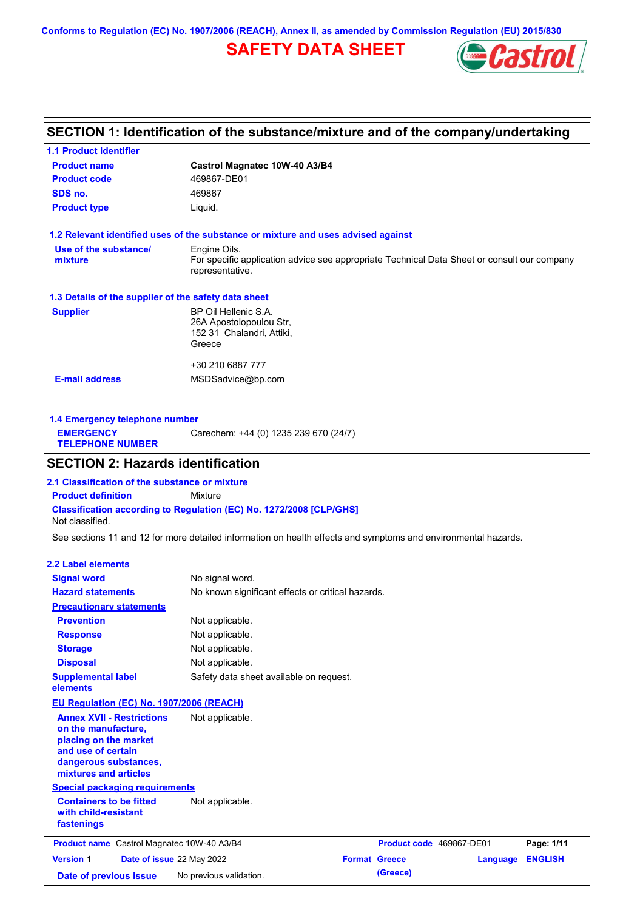**Conforms to Regulation (EC) No. 1907/2006 (REACH), Annex II, as amended by Commission Regulation (EU) 2015/830**

# **SAFETY DATA SHEET**



## **SECTION 1: Identification of the substance/mixture and of the company/undertaking**

| <b>1.1 Product identifier</b>                        |                                                                                                                |
|------------------------------------------------------|----------------------------------------------------------------------------------------------------------------|
| <b>Product name</b>                                  | Castrol Magnatec 10W-40 A3/B4                                                                                  |
| <b>Product code</b>                                  | 469867-DE01                                                                                                    |
| SDS no.                                              | 469867                                                                                                         |
| <b>Product type</b>                                  | Liquid.                                                                                                        |
|                                                      | 1.2 Relevant identified uses of the substance or mixture and uses advised against                              |
| Use of the substance/                                | Engine Oils.                                                                                                   |
| mixture                                              | For specific application advice see appropriate Technical Data Sheet or consult our company<br>representative. |
| 1.3 Details of the supplier of the safety data sheet |                                                                                                                |
| <b>Supplier</b>                                      | BP Oil Hellenic S.A.                                                                                           |
|                                                      | 26A Apostolopoulou Str,                                                                                        |
|                                                      | 152 31 Chalandri, Attiki,                                                                                      |
|                                                      | Greece                                                                                                         |
|                                                      | +30 210 6887 777                                                                                               |
| <b>E-mail address</b>                                | MSDSadvice@bp.com                                                                                              |
|                                                      |                                                                                                                |
|                                                      |                                                                                                                |

| 1.4 Emergency telephone number              |                                       |
|---------------------------------------------|---------------------------------------|
| <b>EMERGENCY</b><br><b>TELEPHONE NUMBER</b> | Carechem: +44 (0) 1235 239 670 (24/7) |
|                                             |                                       |

### **SECTION 2: Hazards identification**

**Classification according to Regulation (EC) No. 1272/2008 [CLP/GHS] 2.1 Classification of the substance or mixture Product definition** Mixture Not classified.

See sections 11 and 12 for more detailed information on health effects and symptoms and environmental hazards.

#### **2.2 Label elements**

| <b>Signal word</b>                                                                                                                                       | No signal word.                                   |                      |                          |                |
|----------------------------------------------------------------------------------------------------------------------------------------------------------|---------------------------------------------------|----------------------|--------------------------|----------------|
| <b>Hazard statements</b>                                                                                                                                 | No known significant effects or critical hazards. |                      |                          |                |
| <b>Precautionary statements</b>                                                                                                                          |                                                   |                      |                          |                |
| <b>Prevention</b>                                                                                                                                        | Not applicable.                                   |                      |                          |                |
| <b>Response</b>                                                                                                                                          | Not applicable.                                   |                      |                          |                |
| <b>Storage</b>                                                                                                                                           | Not applicable.                                   |                      |                          |                |
| <b>Disposal</b>                                                                                                                                          | Not applicable.                                   |                      |                          |                |
| <b>Supplemental label</b><br>elements                                                                                                                    | Safety data sheet available on request.           |                      |                          |                |
| EU Regulation (EC) No. 1907/2006 (REACH)                                                                                                                 |                                                   |                      |                          |                |
| <b>Annex XVII - Restrictions</b><br>on the manufacture,<br>placing on the market<br>and use of certain<br>dangerous substances,<br>mixtures and articles | Not applicable.                                   |                      |                          |                |
| <b>Special packaging requirements</b>                                                                                                                    |                                                   |                      |                          |                |
| <b>Containers to be fitted</b><br>with child-resistant<br>fastenings                                                                                     | Not applicable.                                   |                      |                          |                |
| <b>Product name</b> Castrol Magnatec 10W-40 A3/B4                                                                                                        |                                                   |                      | Product code 469867-DE01 | Page: 1/11     |
| <b>Version 1</b><br>Date of issue 22 May 2022                                                                                                            |                                                   | <b>Format Greece</b> | Language                 | <b>ENGLISH</b> |
| Date of previous issue                                                                                                                                   | No previous validation.                           | (Greece)             |                          |                |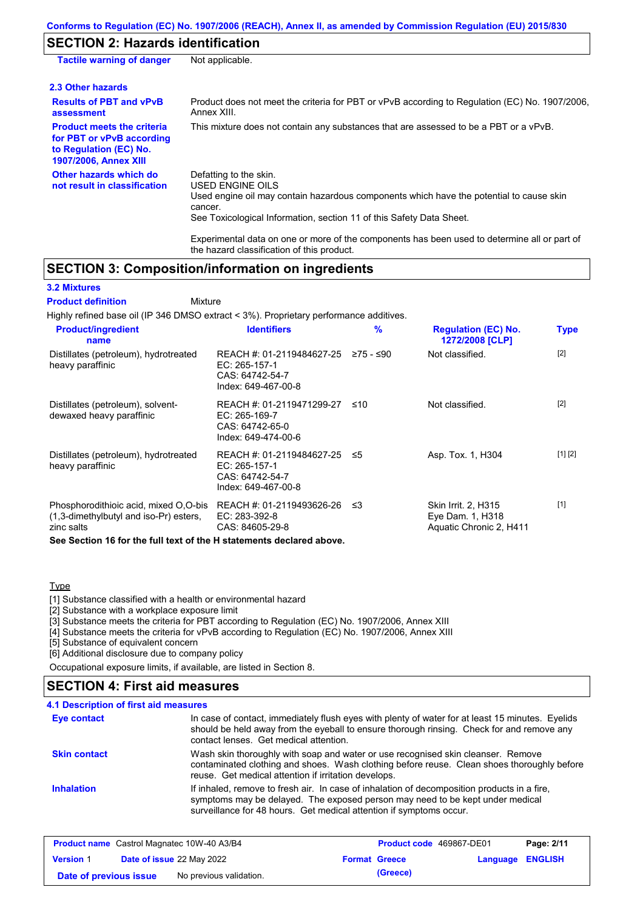# **SECTION 2: Hazards identification**

| <b>Tactile warning of danger</b>                                                                                         | Not applicable.                                                                                                                                                                                                          |
|--------------------------------------------------------------------------------------------------------------------------|--------------------------------------------------------------------------------------------------------------------------------------------------------------------------------------------------------------------------|
| 2.3 Other hazards                                                                                                        |                                                                                                                                                                                                                          |
| <b>Results of PBT and vPvB</b><br>assessment                                                                             | Product does not meet the criteria for PBT or vPvB according to Regulation (EC) No. 1907/2006.<br>Annex XIII.                                                                                                            |
| <b>Product meets the criteria</b><br>for PBT or vPvB according<br>to Regulation (EC) No.<br><b>1907/2006, Annex XIII</b> | This mixture does not contain any substances that are assessed to be a PBT or a vPvB.                                                                                                                                    |
| Other hazards which do<br>not result in classification                                                                   | Defatting to the skin.<br>USED ENGINE OILS<br>Used engine oil may contain hazardous components which have the potential to cause skin<br>cancer.<br>See Toxicological Information, section 11 of this Safety Data Sheet. |
|                                                                                                                          | Experimental data on one or more of the components has been used to determine all or part of                                                                                                                             |

# **SECTION 3: Composition/information on ingredients**

#### **3.2 Mixtures**

#### Mixture **Product definition**

Highly refined base oil (IP 346 DMSO extract < 3%). Proprietary performance additives.

the hazard classification of this product.

| <b>Product/ingredient</b><br>name                                                             | <b>Identifiers</b>                                                                      | $\frac{9}{6}$ | <b>Regulation (EC) No.</b><br>1272/2008 [CLP]                             | <b>Type</b> |
|-----------------------------------------------------------------------------------------------|-----------------------------------------------------------------------------------------|---------------|---------------------------------------------------------------------------|-------------|
| Distillates (petroleum), hydrotreated<br>heavy paraffinic                                     | REACH #: 01-2119484627-25<br>EC: 265-157-1<br>CAS: 64742-54-7<br>Index: 649-467-00-8    | ≥75 - ≤90     | Not classified.                                                           | $[2]$       |
| Distillates (petroleum), solvent-<br>dewaxed heavy paraffinic                                 | REACH #: 01-2119471299-27<br>EC: 265-169-7<br>CAS: 64742-65-0<br>Index: 649-474-00-6    | ≤10           | Not classified.                                                           | $[2]$       |
| Distillates (petroleum), hydrotreated<br>heavy paraffinic                                     | REACH #: 01-2119484627-25 ≤5<br>EC: 265-157-1<br>CAS: 64742-54-7<br>Index: 649-467-00-8 |               | Asp. Tox. 1, H304                                                         | [1] [2]     |
| Phosphorodithioic acid, mixed O,O-bis<br>(1,3-dimethylbutyl and iso-Pr) esters,<br>zinc salts | REACH #: 01-2119493626-26<br>EC: 283-392-8<br>CAS: 84605-29-8                           | -≤3           | <b>Skin Irrit. 2. H315</b><br>Eye Dam. 1, H318<br>Aquatic Chronic 2, H411 | $[1]$       |

**See Section 16 for the full text of the H statements declared above.**

### Type

[1] Substance classified with a health or environmental hazard

[2] Substance with a workplace exposure limit

[3] Substance meets the criteria for PBT according to Regulation (EC) No. 1907/2006, Annex XIII

[4] Substance meets the criteria for vPvB according to Regulation (EC) No. 1907/2006, Annex XIII

[5] Substance of equivalent concern

[6] Additional disclosure due to company policy

Occupational exposure limits, if available, are listed in Section 8.

### **SECTION 4: First aid measures**

### **4.1 Description of first aid measures**

| Eye contact         | In case of contact, immediately flush eyes with plenty of water for at least 15 minutes. Eyelids<br>should be held away from the eyeball to ensure thorough rinsing. Check for and remove any<br>contact lenses. Get medical attention.             |
|---------------------|-----------------------------------------------------------------------------------------------------------------------------------------------------------------------------------------------------------------------------------------------------|
| <b>Skin contact</b> | Wash skin thoroughly with soap and water or use recognised skin cleanser. Remove<br>contaminated clothing and shoes. Wash clothing before reuse. Clean shoes thoroughly before<br>reuse. Get medical attention if irritation develops.              |
| <b>Inhalation</b>   | If inhaled, remove to fresh air. In case of inhalation of decomposition products in a fire,<br>symptoms may be delayed. The exposed person may need to be kept under medical<br>surveillance for 48 hours. Get medical attention if symptoms occur. |

| <b>Product name</b> Castrol Magnatec 10W-40 A3/B4 |  | Product code 469867-DE01         |  | Page: 2/11           |                         |  |
|---------------------------------------------------|--|----------------------------------|--|----------------------|-------------------------|--|
| <b>Version 1</b>                                  |  | <b>Date of issue 22 May 2022</b> |  | <b>Format Greece</b> | <b>Language ENGLISH</b> |  |
| Date of previous issue                            |  | No previous validation.          |  | (Greece)             |                         |  |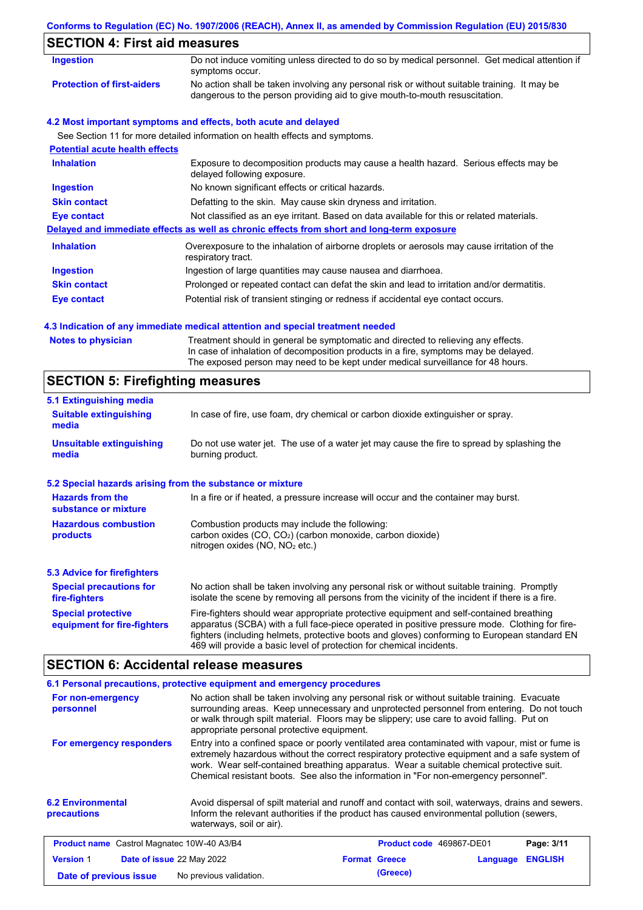### **Conforms to Regulation (EC) No. 1907/2006 (REACH), Annex II, as amended by Commission Regulation (EU) 2015/830**

| <b>Ingestion</b>                      | Do not induce vomiting unless directed to do so by medical personnel. Get medical attention if<br>symptoms occur.                                                           |  |  |  |
|---------------------------------------|-----------------------------------------------------------------------------------------------------------------------------------------------------------------------------|--|--|--|
| <b>Protection of first-aiders</b>     | No action shall be taken involving any personal risk or without suitable training. It may be<br>dangerous to the person providing aid to give mouth-to-mouth resuscitation. |  |  |  |
|                                       | 4.2 Most important symptoms and effects, both acute and delayed                                                                                                             |  |  |  |
|                                       | See Section 11 for more detailed information on health effects and symptoms.                                                                                                |  |  |  |
| <b>Potential acute health effects</b> |                                                                                                                                                                             |  |  |  |
| <b>Inhalation</b>                     | Exposure to decomposition products may cause a health hazard. Serious effects may be<br>delayed following exposure.                                                         |  |  |  |
| <b>Ingestion</b>                      | No known significant effects or critical hazards.                                                                                                                           |  |  |  |
| <b>Skin contact</b>                   | Defatting to the skin. May cause skin dryness and irritation.                                                                                                               |  |  |  |
| Eye contact                           | Not classified as an eye irritant. Based on data available for this or related materials.                                                                                   |  |  |  |
|                                       | Delayed and immediate effects as well as chronic effects from short and long-term exposure                                                                                  |  |  |  |
| <b>Inhalation</b>                     | Overexposure to the inhalation of airborne droplets or aerosols may cause irritation of the<br>respiratory tract.                                                           |  |  |  |
| Ingestion                             | Ingestion of large quantities may cause nausea and diarrhoea.                                                                                                               |  |  |  |
| <b>Skin contact</b>                   | Prolonged or repeated contact can defat the skin and lead to irritation and/or dermatitis.                                                                                  |  |  |  |
| Eye contact                           | Potential risk of transient stinging or redness if accidental eye contact occurs.                                                                                           |  |  |  |

### **4.3 Indication of any immediate medical attention and special treatment needed**

| <b>Notes to physician</b> | Treatment should in general be symptomatic and directed to relieving any effects.   |
|---------------------------|-------------------------------------------------------------------------------------|
|                           | In case of inhalation of decomposition products in a fire, symptoms may be delayed. |
|                           | The exposed person may need to be kept under medical surveillance for 48 hours.     |

# **SECTION 5: Firefighting measures**

| 5.1 Extinguishing media                                   |                                                                                                                                                                                                                                                                                                                                                                   |  |  |  |  |
|-----------------------------------------------------------|-------------------------------------------------------------------------------------------------------------------------------------------------------------------------------------------------------------------------------------------------------------------------------------------------------------------------------------------------------------------|--|--|--|--|
| <b>Suitable extinguishing</b><br>media                    | In case of fire, use foam, dry chemical or carbon dioxide extinguisher or spray.                                                                                                                                                                                                                                                                                  |  |  |  |  |
| <b>Unsuitable extinguishing</b><br>media                  | Do not use water jet. The use of a water jet may cause the fire to spread by splashing the<br>burning product.                                                                                                                                                                                                                                                    |  |  |  |  |
| 5.2 Special hazards arising from the substance or mixture |                                                                                                                                                                                                                                                                                                                                                                   |  |  |  |  |
| <b>Hazards from the</b><br>substance or mixture           | In a fire or if heated, a pressure increase will occur and the container may burst.                                                                                                                                                                                                                                                                               |  |  |  |  |
| <b>Hazardous combustion</b><br>products                   | Combustion products may include the following:<br>carbon oxides $(CO, CO2)$ (carbon monoxide, carbon dioxide)<br>nitrogen oxides ( $NO$ , $NO2$ etc.)                                                                                                                                                                                                             |  |  |  |  |
| 5.3 Advice for firefighters                               |                                                                                                                                                                                                                                                                                                                                                                   |  |  |  |  |
| <b>Special precautions for</b><br>fire-fighters           | No action shall be taken involving any personal risk or without suitable training. Promptly<br>isolate the scene by removing all persons from the vicinity of the incident if there is a fire.                                                                                                                                                                    |  |  |  |  |
| <b>Special protective</b><br>equipment for fire-fighters  | Fire-fighters should wear appropriate protective equipment and self-contained breathing<br>apparatus (SCBA) with a full face-piece operated in positive pressure mode. Clothing for fire-<br>fighters (including helmets, protective boots and gloves) conforming to European standard EN<br>469 will provide a basic level of protection for chemical incidents. |  |  |  |  |

# **SECTION 6: Accidental release measures**

|                                                                                                                                                                                                                                                                                                                                                                                                                  | 6.1 Personal precautions, protective equipment and emergency procedures                                                                                                                                                                                                                                                             |                      |                          |          |                |
|------------------------------------------------------------------------------------------------------------------------------------------------------------------------------------------------------------------------------------------------------------------------------------------------------------------------------------------------------------------------------------------------------------------|-------------------------------------------------------------------------------------------------------------------------------------------------------------------------------------------------------------------------------------------------------------------------------------------------------------------------------------|----------------------|--------------------------|----------|----------------|
| For non-emergency<br>personnel                                                                                                                                                                                                                                                                                                                                                                                   | No action shall be taken involving any personal risk or without suitable training. Evacuate<br>surrounding areas. Keep unnecessary and unprotected personnel from entering. Do not touch<br>or walk through spilt material. Floors may be slippery; use care to avoid falling. Put on<br>appropriate personal protective equipment. |                      |                          |          |                |
| Entry into a confined space or poorly ventilated area contaminated with vapour, mist or fume is<br>For emergency responders<br>extremely hazardous without the correct respiratory protective equipment and a safe system of<br>work. Wear self-contained breathing apparatus. Wear a suitable chemical protective suit.<br>Chemical resistant boots. See also the information in "For non-emergency personnel". |                                                                                                                                                                                                                                                                                                                                     |                      |                          |          |                |
| <b>6.2 Environmental</b><br>precautions                                                                                                                                                                                                                                                                                                                                                                          | Avoid dispersal of spilt material and runoff and contact with soil, waterways, drains and sewers.<br>Inform the relevant authorities if the product has caused environmental pollution (sewers,<br>waterways, soil or air).                                                                                                         |                      |                          |          |                |
| <b>Product name</b> Castrol Magnatec 10W-40 A3/B4                                                                                                                                                                                                                                                                                                                                                                |                                                                                                                                                                                                                                                                                                                                     |                      | Product code 469867-DE01 |          | Page: 3/11     |
| <b>Version 1</b><br>Date of issue 22 May 2022                                                                                                                                                                                                                                                                                                                                                                    |                                                                                                                                                                                                                                                                                                                                     | <b>Format Greece</b> |                          | Language | <b>ENGLISH</b> |
| Date of previous issue                                                                                                                                                                                                                                                                                                                                                                                           | No previous validation.                                                                                                                                                                                                                                                                                                             |                      | (Greece)                 |          |                |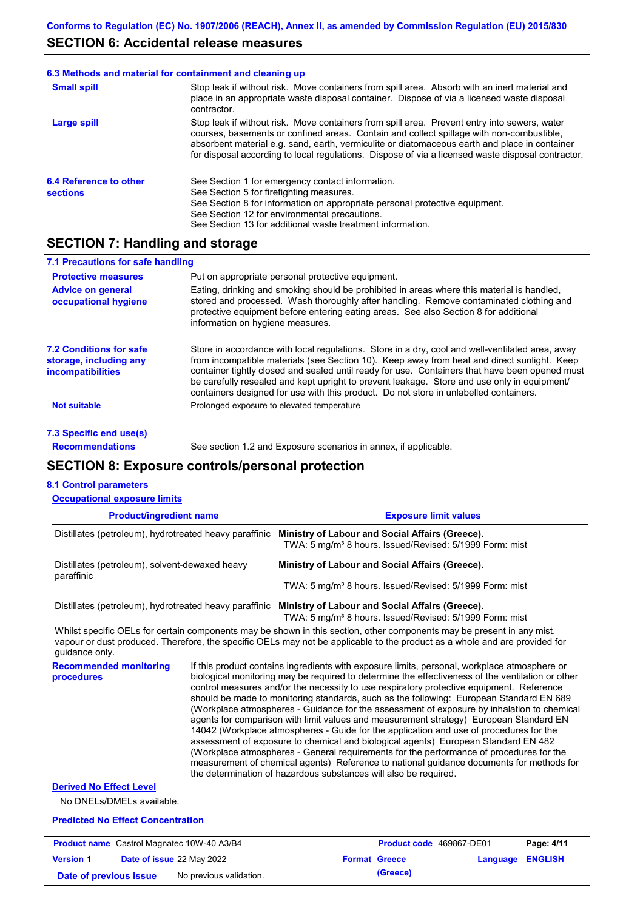### **SECTION 6: Accidental release measures**

#### Stop leak if without risk. Move containers from spill area. Prevent entry into sewers, water courses, basements or confined areas. Contain and collect spillage with non-combustible, absorbent material e.g. sand, earth, vermiculite or diatomaceous earth and place in container for disposal according to local regulations. Dispose of via a licensed waste disposal contractor. **Large spill** Stop leak if without risk. Move containers from spill area. Absorb with an inert material and place in an appropriate waste disposal container. Dispose of via a licensed waste disposal contractor. **Small spill 6.3 Methods and material for containment and cleaning up 6.4 Reference to other sections** See Section 1 for emergency contact information. See Section 5 for firefighting measures. See Section 8 for information on appropriate personal protective equipment. See Section 12 for environmental precautions. See Section 13 for additional waste treatment information.

# **SECTION 7: Handling and storage**

| 7.1 Precautions for safe handling                                                                                                                                                                                                                                                                                                                     |                                                                                                                                                                                                                                                                                                                                                                                                                                                                                          |
|-------------------------------------------------------------------------------------------------------------------------------------------------------------------------------------------------------------------------------------------------------------------------------------------------------------------------------------------------------|------------------------------------------------------------------------------------------------------------------------------------------------------------------------------------------------------------------------------------------------------------------------------------------------------------------------------------------------------------------------------------------------------------------------------------------------------------------------------------------|
| <b>Protective measures</b>                                                                                                                                                                                                                                                                                                                            | Put on appropriate personal protective equipment.                                                                                                                                                                                                                                                                                                                                                                                                                                        |
| <b>Advice on general</b><br>occupational hygiene                                                                                                                                                                                                                                                                                                      | Eating, drinking and smoking should be prohibited in areas where this material is handled,<br>stored and processed. Wash thoroughly after handling. Remove contaminated clothing and<br>protective equipment before entering eating areas. See also Section 8 for additional<br>information on hygiene measures.                                                                                                                                                                         |
| <b>7.2 Conditions for safe</b><br>storage, including any<br><i>incompatibilities</i>                                                                                                                                                                                                                                                                  | Store in accordance with local requlations. Store in a dry, cool and well-ventilated area, away<br>from incompatible materials (see Section 10). Keep away from heat and direct sunlight. Keep<br>container tightly closed and sealed until ready for use. Containers that have been opened must<br>be carefully resealed and kept upright to prevent leakage. Store and use only in equipment/<br>containers designed for use with this product. Do not store in unlabelled containers. |
| <b>Not suitable</b>                                                                                                                                                                                                                                                                                                                                   | Prolonged exposure to elevated temperature                                                                                                                                                                                                                                                                                                                                                                                                                                               |
| $\overline{z}$ 0.0 $\overline{z}$ = $\overline{z}$ = $\overline{z}$ = $\overline{z}$ = $\overline{z}$ = $\overline{z}$ = $\overline{z}$ = $\overline{z}$ = $\overline{z}$ = $\overline{z}$ = $\overline{z}$ = $\overline{z}$ = $\overline{z}$ = $\overline{z}$ = $\overline{z}$ = $\overline{z}$ = $\overline{z}$ = $\overline{z}$ = $\overline{z}$ = |                                                                                                                                                                                                                                                                                                                                                                                                                                                                                          |

**7.3 Specific end use(s) Recommendations**

See section 1.2 and Exposure scenarios in annex, if applicable.

### **SECTION 8: Exposure controls/personal protection**

#### **8.1 Control parameters**

| <b>Product/ingredient name</b><br><b>Exposure limit values</b><br>Distillates (petroleum), hydrotreated heavy paraffinic<br>Ministry of Labour and Social Affairs (Greece).<br>TWA: 5 mg/m <sup>3</sup> 8 hours. Issued/Revised: 5/1999 Form: mist<br>Distillates (petroleum), solvent-dewaxed heavy<br>Ministry of Labour and Social Affairs (Greece).<br>paraffinic<br>TWA: 5 mg/m <sup>3</sup> 8 hours. Issued/Revised: 5/1999 Form: mist<br>Distillates (petroleum), hydrotreated heavy paraffinic Ministry of Labour and Social Affairs (Greece).<br>TWA: 5 mg/m <sup>3</sup> 8 hours. Issued/Revised: 5/1999 Form: mist<br>Whilst specific OELs for certain components may be shown in this section, other components may be present in any mist,<br>vapour or dust produced. Therefore, the specific OELs may not be applicable to the product as a whole and are provided for<br>guidance only.<br>If this product contains ingredients with exposure limits, personal, workplace atmosphere or<br><b>Recommended monitoring</b><br>biological monitoring may be required to determine the effectiveness of the ventilation or other<br>procedures<br>control measures and/or the necessity to use respiratory protective equipment. Reference<br>should be made to monitoring standards, such as the following: European Standard EN 689 |  |
|---------------------------------------------------------------------------------------------------------------------------------------------------------------------------------------------------------------------------------------------------------------------------------------------------------------------------------------------------------------------------------------------------------------------------------------------------------------------------------------------------------------------------------------------------------------------------------------------------------------------------------------------------------------------------------------------------------------------------------------------------------------------------------------------------------------------------------------------------------------------------------------------------------------------------------------------------------------------------------------------------------------------------------------------------------------------------------------------------------------------------------------------------------------------------------------------------------------------------------------------------------------------------------------------------------------------------------------------------|--|
|                                                                                                                                                                                                                                                                                                                                                                                                                                                                                                                                                                                                                                                                                                                                                                                                                                                                                                                                                                                                                                                                                                                                                                                                                                                                                                                                                   |  |
|                                                                                                                                                                                                                                                                                                                                                                                                                                                                                                                                                                                                                                                                                                                                                                                                                                                                                                                                                                                                                                                                                                                                                                                                                                                                                                                                                   |  |
|                                                                                                                                                                                                                                                                                                                                                                                                                                                                                                                                                                                                                                                                                                                                                                                                                                                                                                                                                                                                                                                                                                                                                                                                                                                                                                                                                   |  |
|                                                                                                                                                                                                                                                                                                                                                                                                                                                                                                                                                                                                                                                                                                                                                                                                                                                                                                                                                                                                                                                                                                                                                                                                                                                                                                                                                   |  |
|                                                                                                                                                                                                                                                                                                                                                                                                                                                                                                                                                                                                                                                                                                                                                                                                                                                                                                                                                                                                                                                                                                                                                                                                                                                                                                                                                   |  |
|                                                                                                                                                                                                                                                                                                                                                                                                                                                                                                                                                                                                                                                                                                                                                                                                                                                                                                                                                                                                                                                                                                                                                                                                                                                                                                                                                   |  |
| (Workplace atmospheres - Guidance for the assessment of exposure by inhalation to chemical<br>agents for comparison with limit values and measurement strategy) European Standard EN<br>14042 (Workplace atmospheres - Guide for the application and use of procedures for the<br>assessment of exposure to chemical and biological agents) European Standard EN 482<br>(Workplace atmospheres - General requirements for the performance of procedures for the<br>measurement of chemical agents) Reference to national guidance documents for methods for<br>the determination of hazardous substances will also be required.                                                                                                                                                                                                                                                                                                                                                                                                                                                                                                                                                                                                                                                                                                                   |  |
| <b>Derived No Effect Level</b>                                                                                                                                                                                                                                                                                                                                                                                                                                                                                                                                                                                                                                                                                                                                                                                                                                                                                                                                                                                                                                                                                                                                                                                                                                                                                                                    |  |
| No DNELs/DMELs available.                                                                                                                                                                                                                                                                                                                                                                                                                                                                                                                                                                                                                                                                                                                                                                                                                                                                                                                                                                                                                                                                                                                                                                                                                                                                                                                         |  |
| <b>Predicted No Effect Concentration</b>                                                                                                                                                                                                                                                                                                                                                                                                                                                                                                                                                                                                                                                                                                                                                                                                                                                                                                                                                                                                                                                                                                                                                                                                                                                                                                          |  |

|                        | <b>Product name</b> Castrol Magnatec 10W-40 A3/B4 | <b>Product code</b> 469867-DE01 |                         | Page: 4/11 |
|------------------------|---------------------------------------------------|---------------------------------|-------------------------|------------|
| <b>Version 1</b>       | Date of issue 22 May 2022                         | <b>Format Greece</b>            | <b>Language ENGLISH</b> |            |
| Date of previous issue | No previous validation.                           | (Greece)                        |                         |            |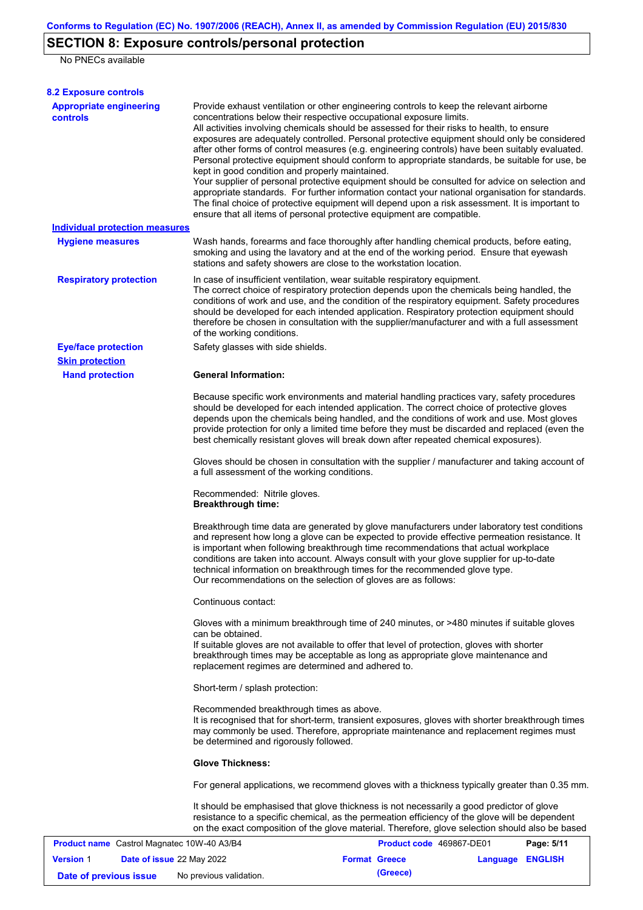# **SECTION 8: Exposure controls/personal protection**

No PNECs available

| <b>8.2 Exposure controls</b>                      |                                                                                                                                                                                                                                                                                                                                                                                                                                                                                                                                                                                                                                                                                                                                                                                                                                                                                                                                                                                                         |
|---------------------------------------------------|---------------------------------------------------------------------------------------------------------------------------------------------------------------------------------------------------------------------------------------------------------------------------------------------------------------------------------------------------------------------------------------------------------------------------------------------------------------------------------------------------------------------------------------------------------------------------------------------------------------------------------------------------------------------------------------------------------------------------------------------------------------------------------------------------------------------------------------------------------------------------------------------------------------------------------------------------------------------------------------------------------|
| <b>Appropriate engineering</b><br><b>controls</b> | Provide exhaust ventilation or other engineering controls to keep the relevant airborne<br>concentrations below their respective occupational exposure limits.<br>All activities involving chemicals should be assessed for their risks to health, to ensure<br>exposures are adequately controlled. Personal protective equipment should only be considered<br>after other forms of control measures (e.g. engineering controls) have been suitably evaluated.<br>Personal protective equipment should conform to appropriate standards, be suitable for use, be<br>kept in good condition and properly maintained.<br>Your supplier of personal protective equipment should be consulted for advice on selection and<br>appropriate standards. For further information contact your national organisation for standards.<br>The final choice of protective equipment will depend upon a risk assessment. It is important to<br>ensure that all items of personal protective equipment are compatible. |
| <b>Individual protection measures</b>             |                                                                                                                                                                                                                                                                                                                                                                                                                                                                                                                                                                                                                                                                                                                                                                                                                                                                                                                                                                                                         |
| <b>Hygiene measures</b>                           | Wash hands, forearms and face thoroughly after handling chemical products, before eating,<br>smoking and using the lavatory and at the end of the working period. Ensure that eyewash<br>stations and safety showers are close to the workstation location.                                                                                                                                                                                                                                                                                                                                                                                                                                                                                                                                                                                                                                                                                                                                             |
| <b>Respiratory protection</b>                     | In case of insufficient ventilation, wear suitable respiratory equipment.<br>The correct choice of respiratory protection depends upon the chemicals being handled, the<br>conditions of work and use, and the condition of the respiratory equipment. Safety procedures<br>should be developed for each intended application. Respiratory protection equipment should<br>therefore be chosen in consultation with the supplier/manufacturer and with a full assessment<br>of the working conditions.                                                                                                                                                                                                                                                                                                                                                                                                                                                                                                   |
| <b>Eye/face protection</b>                        | Safety glasses with side shields.                                                                                                                                                                                                                                                                                                                                                                                                                                                                                                                                                                                                                                                                                                                                                                                                                                                                                                                                                                       |
| <b>Skin protection</b>                            |                                                                                                                                                                                                                                                                                                                                                                                                                                                                                                                                                                                                                                                                                                                                                                                                                                                                                                                                                                                                         |
| <b>Hand protection</b>                            | <b>General Information:</b><br>Because specific work environments and material handling practices vary, safety procedures<br>should be developed for each intended application. The correct choice of protective gloves                                                                                                                                                                                                                                                                                                                                                                                                                                                                                                                                                                                                                                                                                                                                                                                 |
|                                                   | depends upon the chemicals being handled, and the conditions of work and use. Most gloves<br>provide protection for only a limited time before they must be discarded and replaced (even the<br>best chemically resistant gloves will break down after repeated chemical exposures).                                                                                                                                                                                                                                                                                                                                                                                                                                                                                                                                                                                                                                                                                                                    |
|                                                   | Gloves should be chosen in consultation with the supplier / manufacturer and taking account of<br>a full assessment of the working conditions.                                                                                                                                                                                                                                                                                                                                                                                                                                                                                                                                                                                                                                                                                                                                                                                                                                                          |
|                                                   | Recommended: Nitrile gloves.<br><b>Breakthrough time:</b>                                                                                                                                                                                                                                                                                                                                                                                                                                                                                                                                                                                                                                                                                                                                                                                                                                                                                                                                               |
|                                                   | Breakthrough time data are generated by glove manufacturers under laboratory test conditions<br>and represent how long a glove can be expected to provide effective permeation resistance. It<br>is important when following breakthrough time recommendations that actual workplace<br>conditions are taken into account. Always consult with your glove supplier for up-to-date<br>technical information on breakthrough times for the recommended glove type.<br>Our recommendations on the selection of gloves are as follows:                                                                                                                                                                                                                                                                                                                                                                                                                                                                      |
|                                                   | Continuous contact:                                                                                                                                                                                                                                                                                                                                                                                                                                                                                                                                                                                                                                                                                                                                                                                                                                                                                                                                                                                     |
|                                                   | Gloves with a minimum breakthrough time of 240 minutes, or >480 minutes if suitable gloves<br>can be obtained.<br>If suitable gloves are not available to offer that level of protection, gloves with shorter<br>breakthrough times may be acceptable as long as appropriate glove maintenance and<br>replacement regimes are determined and adhered to.                                                                                                                                                                                                                                                                                                                                                                                                                                                                                                                                                                                                                                                |
|                                                   | Short-term / splash protection:                                                                                                                                                                                                                                                                                                                                                                                                                                                                                                                                                                                                                                                                                                                                                                                                                                                                                                                                                                         |
|                                                   | Recommended breakthrough times as above.<br>It is recognised that for short-term, transient exposures, gloves with shorter breakthrough times<br>may commonly be used. Therefore, appropriate maintenance and replacement regimes must<br>be determined and rigorously followed.                                                                                                                                                                                                                                                                                                                                                                                                                                                                                                                                                                                                                                                                                                                        |
|                                                   | <b>Glove Thickness:</b>                                                                                                                                                                                                                                                                                                                                                                                                                                                                                                                                                                                                                                                                                                                                                                                                                                                                                                                                                                                 |
|                                                   | For general applications, we recommend gloves with a thickness typically greater than 0.35 mm.                                                                                                                                                                                                                                                                                                                                                                                                                                                                                                                                                                                                                                                                                                                                                                                                                                                                                                          |
|                                                   | It should be emphasised that glove thickness is not necessarily a good predictor of glove<br>resistance to a specific chemical, as the permeation efficiency of the glove will be dependent<br>on the exact composition of the glove material. Therefore, glove selection should also be based                                                                                                                                                                                                                                                                                                                                                                                                                                                                                                                                                                                                                                                                                                          |
| <b>Product name</b> Castrol Magnatec 10W-40 A3/B4 | Product code 469867-DE01<br>Page: 5/11                                                                                                                                                                                                                                                                                                                                                                                                                                                                                                                                                                                                                                                                                                                                                                                                                                                                                                                                                                  |
| <b>Version 1</b><br>Date of issue 22 May 2022     | <b>Format Greece</b><br>Language ENGLISH                                                                                                                                                                                                                                                                                                                                                                                                                                                                                                                                                                                                                                                                                                                                                                                                                                                                                                                                                                |

| <b>Version 1</b>       | <b>Date of issue 22 May 2022</b> | <b>Format Greece</b> | <b>Language ENGLISH</b> |  |
|------------------------|----------------------------------|----------------------|-------------------------|--|
| Date of previous issue | No previous validation.          | (Greece)             |                         |  |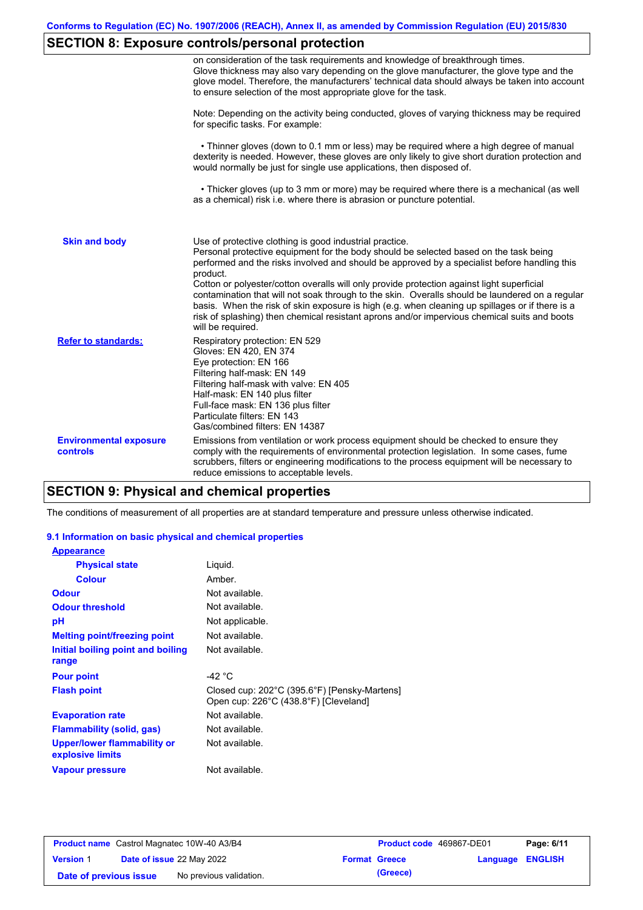# **SECTION 8: Exposure controls/personal protection**

|                                           | on consideration of the task requirements and knowledge of breakthrough times.<br>Glove thickness may also vary depending on the glove manufacturer, the glove type and the<br>glove model. Therefore, the manufacturers' technical data should always be taken into account<br>to ensure selection of the most appropriate glove for the task.                                                                                                                                                                                                                                                                                                                                       |
|-------------------------------------------|---------------------------------------------------------------------------------------------------------------------------------------------------------------------------------------------------------------------------------------------------------------------------------------------------------------------------------------------------------------------------------------------------------------------------------------------------------------------------------------------------------------------------------------------------------------------------------------------------------------------------------------------------------------------------------------|
|                                           | Note: Depending on the activity being conducted, gloves of varying thickness may be required<br>for specific tasks. For example:                                                                                                                                                                                                                                                                                                                                                                                                                                                                                                                                                      |
|                                           | • Thinner gloves (down to 0.1 mm or less) may be required where a high degree of manual<br>dexterity is needed. However, these gloves are only likely to give short duration protection and<br>would normally be just for single use applications, then disposed of.                                                                                                                                                                                                                                                                                                                                                                                                                  |
|                                           | • Thicker gloves (up to 3 mm or more) may be required where there is a mechanical (as well<br>as a chemical) risk i.e. where there is abrasion or puncture potential.                                                                                                                                                                                                                                                                                                                                                                                                                                                                                                                 |
| <b>Skin and body</b>                      | Use of protective clothing is good industrial practice.<br>Personal protective equipment for the body should be selected based on the task being<br>performed and the risks involved and should be approved by a specialist before handling this<br>product.<br>Cotton or polyester/cotton overalls will only provide protection against light superficial<br>contamination that will not soak through to the skin. Overalls should be laundered on a regular<br>basis. When the risk of skin exposure is high (e.g. when cleaning up spillages or if there is a<br>risk of splashing) then chemical resistant aprons and/or impervious chemical suits and boots<br>will be required. |
| <b>Refer to standards:</b>                | Respiratory protection: EN 529<br>Gloves: EN 420, EN 374<br>Eye protection: EN 166<br>Filtering half-mask: EN 149<br>Filtering half-mask with valve: EN 405<br>Half-mask: EN 140 plus filter<br>Full-face mask: EN 136 plus filter<br>Particulate filters: EN 143<br>Gas/combined filters: EN 14387                                                                                                                                                                                                                                                                                                                                                                                   |
| <b>Environmental exposure</b><br>controls | Emissions from ventilation or work process equipment should be checked to ensure they<br>comply with the requirements of environmental protection legislation. In some cases, fume<br>scrubbers, filters or engineering modifications to the process equipment will be necessary to<br>reduce emissions to acceptable levels.                                                                                                                                                                                                                                                                                                                                                         |

# **SECTION 9: Physical and chemical properties**

The conditions of measurement of all properties are at standard temperature and pressure unless otherwise indicated.

### **9.1 Information on basic physical and chemical properties**

| <b>Appearance</b>                               |                                                                                       |
|-------------------------------------------------|---------------------------------------------------------------------------------------|
| <b>Physical state</b>                           | Liquid.                                                                               |
| <b>Colour</b>                                   | Amber.                                                                                |
| <b>Odour</b>                                    | Not available.                                                                        |
| <b>Odour threshold</b>                          | Not available.                                                                        |
| рH                                              | Not applicable.                                                                       |
| <b>Melting point/freezing point</b>             | Not available.                                                                        |
| Initial boiling point and boiling<br>range      | Not available.                                                                        |
| <b>Pour point</b>                               | -42 $\degree$ C                                                                       |
| <b>Flash point</b>                              | Closed cup: 202°C (395.6°F) [Pensky-Martens]<br>Open cup: 226°C (438.8°F) [Cleveland] |
| <b>Evaporation rate</b>                         | Not available.                                                                        |
| Flammability (solid, gas)                       | Not available.                                                                        |
| Upper/lower flammability or<br>explosive limits | Not available.                                                                        |
| Vapour pressure                                 | Not available.                                                                        |

|                        | <b>Product name</b> Castrol Magnatec 10W-40 A3/B4 | <b>Product code</b> 469867-DE01 |                         | Page: 6/11 |
|------------------------|---------------------------------------------------|---------------------------------|-------------------------|------------|
| <b>Version 1</b>       | Date of issue 22 May 2022                         | <b>Format Greece</b>            | <b>Language ENGLISH</b> |            |
| Date of previous issue | No previous validation.                           | (Greece)                        |                         |            |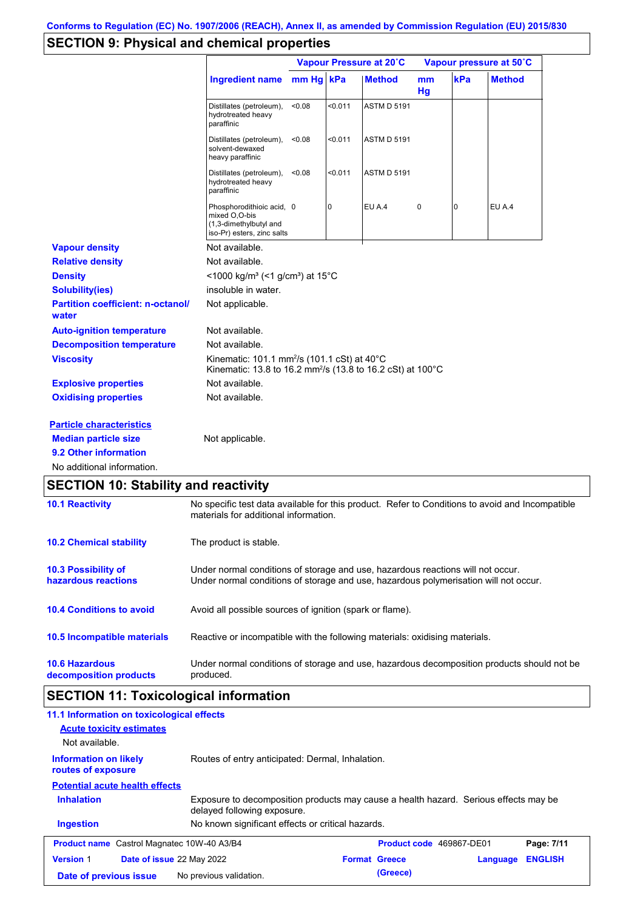# **SECTION 9: Physical and chemical properties**

|                                                   |                                                                                                                                          | Vapour Pressure at 20°C |         |                    |          | Vapour pressure at 50°C |               |  |
|---------------------------------------------------|------------------------------------------------------------------------------------------------------------------------------------------|-------------------------|---------|--------------------|----------|-------------------------|---------------|--|
|                                                   | <b>Ingredient name</b>                                                                                                                   | mm Hg kPa               |         | <b>Method</b>      | mm<br>Hg | kPa                     | <b>Method</b> |  |
|                                                   | Distillates (petroleum),<br>hydrotreated heavy<br>paraffinic                                                                             | < 0.08                  | < 0.011 | <b>ASTM D 5191</b> |          |                         |               |  |
|                                                   | Distillates (petroleum),<br>solvent-dewaxed<br>heavy paraffinic                                                                          | < 0.08                  | < 0.011 | <b>ASTM D 5191</b> |          |                         |               |  |
|                                                   | Distillates (petroleum),<br>hydrotreated heavy<br>paraffinic                                                                             | < 0.08                  | < 0.011 | <b>ASTM D 5191</b> |          |                         |               |  |
|                                                   | Phosphorodithioic acid, 0<br>mixed O,O-bis<br>(1,3-dimethylbutyl and<br>iso-Pr) esters, zinc salts                                       |                         | 0       | EU A.4             | 0        | 0                       | EU A.4        |  |
| <b>Vapour density</b>                             | Not available.                                                                                                                           |                         |         |                    |          |                         |               |  |
| <b>Relative density</b>                           | Not available.                                                                                                                           |                         |         |                    |          |                         |               |  |
| <b>Density</b>                                    | <1000 kg/m <sup>3</sup> (<1 g/cm <sup>3</sup> ) at 15 <sup>°</sup> C                                                                     |                         |         |                    |          |                         |               |  |
| <b>Solubility(ies)</b>                            | insoluble in water.                                                                                                                      |                         |         |                    |          |                         |               |  |
| <b>Partition coefficient: n-octanol/</b><br>water | Not applicable.                                                                                                                          |                         |         |                    |          |                         |               |  |
| <b>Auto-ignition temperature</b>                  | Not available.                                                                                                                           |                         |         |                    |          |                         |               |  |
| <b>Decomposition temperature</b>                  | Not available.                                                                                                                           |                         |         |                    |          |                         |               |  |
| <b>Viscosity</b>                                  | Kinematic: 101.1 mm <sup>2</sup> /s (101.1 cSt) at 40°C<br>Kinematic: 13.8 to 16.2 mm <sup>2</sup> /s (13.8 to 16.2 cSt) at 100°C        |                         |         |                    |          |                         |               |  |
| <b>Explosive properties</b>                       | Not available.                                                                                                                           |                         |         |                    |          |                         |               |  |
| <b>Oxidising properties</b>                       | Not available.                                                                                                                           |                         |         |                    |          |                         |               |  |
| <b>Particle characteristics</b>                   |                                                                                                                                          |                         |         |                    |          |                         |               |  |
| <b>Median particle size</b>                       | Not applicable.                                                                                                                          |                         |         |                    |          |                         |               |  |
| 9.2 Other information                             |                                                                                                                                          |                         |         |                    |          |                         |               |  |
| No additional information.                        |                                                                                                                                          |                         |         |                    |          |                         |               |  |
| <b>SECTION 10: Stability and reactivity</b>       |                                                                                                                                          |                         |         |                    |          |                         |               |  |
| <b>10.1 Reactivity</b>                            | No specific test data available for this product. Refer to Conditions to avoid and Incompatible<br>materials for additional information. |                         |         |                    |          |                         |               |  |
| <b>10.2 Chemical stability</b>                    | The product is stable.                                                                                                                   |                         |         |                    |          |                         |               |  |

| <b>10.3 Possibility of</b><br>hazardous reactions | Under normal conditions of storage and use, hazardous reactions will not occur.<br>Under normal conditions of storage and use, hazardous polymerisation will not occur. |
|---------------------------------------------------|-------------------------------------------------------------------------------------------------------------------------------------------------------------------------|
| <b>10.4 Conditions to avoid</b>                   | Avoid all possible sources of ignition (spark or flame).                                                                                                                |
| <b>10.5 Incompatible materials</b>                | Reactive or incompatible with the following materials: oxidising materials.                                                                                             |
| <b>10.6 Hazardous</b><br>decomposition products   | Under normal conditions of storage and use, hazardous decomposition products should not be<br>produced.                                                                 |

# **SECTION 11: Toxicological information**

| 11.1 Information on toxicological effects<br><b>Acute toxicity estimates</b><br>Not available. |                                                                                                                     |                      |                                 |          |                |
|------------------------------------------------------------------------------------------------|---------------------------------------------------------------------------------------------------------------------|----------------------|---------------------------------|----------|----------------|
| <b>Information on likely</b><br>routes of exposure                                             | Routes of entry anticipated: Dermal, Inhalation.                                                                    |                      |                                 |          |                |
| <b>Potential acute health effects</b>                                                          |                                                                                                                     |                      |                                 |          |                |
| <b>Inhalation</b>                                                                              | Exposure to decomposition products may cause a health hazard. Serious effects may be<br>delayed following exposure. |                      |                                 |          |                |
| <b>Ingestion</b>                                                                               | No known significant effects or critical hazards.                                                                   |                      |                                 |          |                |
| <b>Product name</b> Castrol Magnatec 10W-40 A3/B4                                              |                                                                                                                     |                      | <b>Product code</b> 469867-DE01 |          | Page: 7/11     |
| <b>Version 1</b><br>Date of issue 22 May 2022                                                  |                                                                                                                     | <b>Format Greece</b> |                                 | Language | <b>ENGLISH</b> |
| Date of previous issue                                                                         | No previous validation.                                                                                             |                      | (Greece)                        |          |                |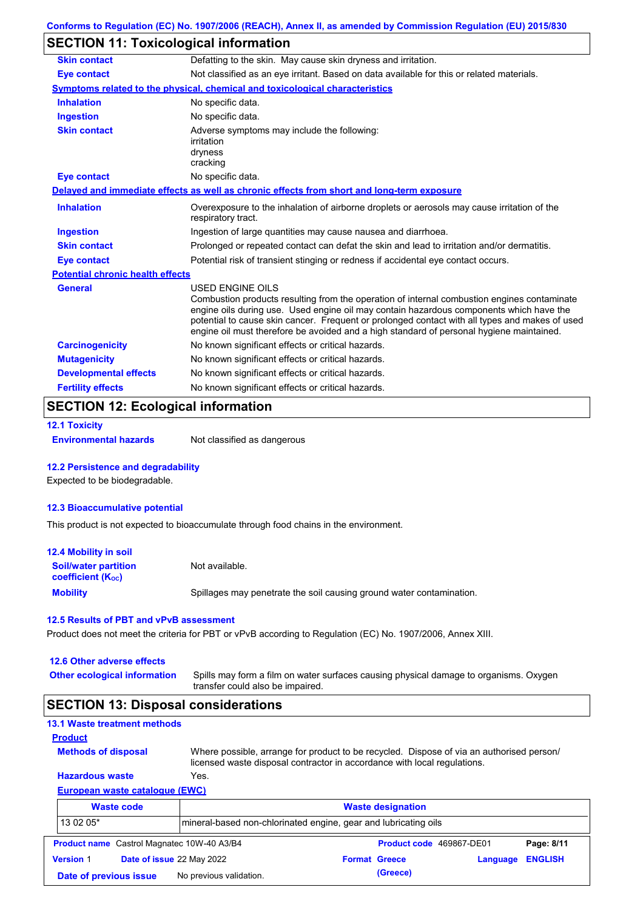# **SECTION 11: Toxicological information**

| <b>Skin contact</b>                     | Defatting to the skin. May cause skin dryness and irritation.                                                                                                                                                                                                                                                                                                                                                   |
|-----------------------------------------|-----------------------------------------------------------------------------------------------------------------------------------------------------------------------------------------------------------------------------------------------------------------------------------------------------------------------------------------------------------------------------------------------------------------|
| <b>Eye contact</b>                      | Not classified as an eye irritant. Based on data available for this or related materials.                                                                                                                                                                                                                                                                                                                       |
|                                         | <b>Symptoms related to the physical, chemical and toxicological characteristics</b>                                                                                                                                                                                                                                                                                                                             |
| <b>Inhalation</b>                       | No specific data.                                                                                                                                                                                                                                                                                                                                                                                               |
| <b>Ingestion</b>                        | No specific data.                                                                                                                                                                                                                                                                                                                                                                                               |
| <b>Skin contact</b>                     | Adverse symptoms may include the following:<br>irritation<br>dryness<br>cracking                                                                                                                                                                                                                                                                                                                                |
| <b>Eye contact</b>                      | No specific data.                                                                                                                                                                                                                                                                                                                                                                                               |
|                                         | Delayed and immediate effects as well as chronic effects from short and long-term exposure                                                                                                                                                                                                                                                                                                                      |
| <b>Inhalation</b>                       | Overexposure to the inhalation of airborne droplets or aerosols may cause irritation of the<br>respiratory tract.                                                                                                                                                                                                                                                                                               |
| <b>Ingestion</b>                        | Ingestion of large quantities may cause nausea and diarrhoea.                                                                                                                                                                                                                                                                                                                                                   |
| <b>Skin contact</b>                     | Prolonged or repeated contact can defat the skin and lead to irritation and/or dermatitis.                                                                                                                                                                                                                                                                                                                      |
| <b>Eye contact</b>                      | Potential risk of transient stinging or redness if accidental eye contact occurs.                                                                                                                                                                                                                                                                                                                               |
| <b>Potential chronic health effects</b> |                                                                                                                                                                                                                                                                                                                                                                                                                 |
| <b>General</b>                          | <b>USED ENGINE OILS</b><br>Combustion products resulting from the operation of internal combustion engines contaminate<br>engine oils during use. Used engine oil may contain hazardous components which have the<br>potential to cause skin cancer. Frequent or prolonged contact with all types and makes of used<br>engine oil must therefore be avoided and a high standard of personal hygiene maintained. |
| <b>Carcinogenicity</b>                  | No known significant effects or critical hazards.                                                                                                                                                                                                                                                                                                                                                               |
| <b>Mutagenicity</b>                     | No known significant effects or critical hazards.                                                                                                                                                                                                                                                                                                                                                               |
| <b>Developmental effects</b>            | No known significant effects or critical hazards.                                                                                                                                                                                                                                                                                                                                                               |
| <b>Fertility effects</b>                | No known significant effects or critical hazards.                                                                                                                                                                                                                                                                                                                                                               |

### **SECTION 12: Ecological information**

```
12.1 Toxicity
```
**Environmental hazards** Not classified as dangerous

#### **12.2 Persistence and degradability**

Expected to be biodegradable.

#### **12.3 Bioaccumulative potential**

This product is not expected to bioaccumulate through food chains in the environment.

| <b>12.4 Mobility in soil</b>                            |                                                                      |
|---------------------------------------------------------|----------------------------------------------------------------------|
| <b>Soil/water partition</b><br><b>coefficient (Koc)</b> | Not available.                                                       |
| <b>Mobility</b>                                         | Spillages may penetrate the soil causing ground water contamination. |

#### **12.5 Results of PBT and vPvB assessment**

Product does not meet the criteria for PBT or vPvB according to Regulation (EC) No. 1907/2006, Annex XIII.

#### **12.6 Other adverse effects**

**Other ecological information**

Spills may form a film on water surfaces causing physical damage to organisms. Oxygen transfer could also be impaired.

### **SECTION 13: Disposal considerations**

### **13.1 Waste treatment methods**

**Methods of disposal**

**Product**

Where possible, arrange for product to be recycled. Dispose of via an authorised person/ licensed waste disposal contractor in accordance with local regulations.

### **European waste catalogue (EWC) Hazardous waste** Yes.

| <b>Waste code</b>                                                             |                                                   | <b>Waste designation</b> |                      |          |                          |                |
|-------------------------------------------------------------------------------|---------------------------------------------------|--------------------------|----------------------|----------|--------------------------|----------------|
| 13 02 05*<br>Imineral-based non-chlorinated engine, gear and lubricating oils |                                                   |                          |                      |          |                          |                |
|                                                                               | <b>Product name</b> Castrol Magnatec 10W-40 A3/B4 |                          |                      |          | Product code 469867-DE01 | Page: 8/11     |
| <b>Version 1</b>                                                              | Date of issue 22 May 2022                         |                          | <b>Format Greece</b> |          | Language                 | <b>ENGLISH</b> |
|                                                                               | Date of previous issue                            | No previous validation.  |                      | (Greece) |                          |                |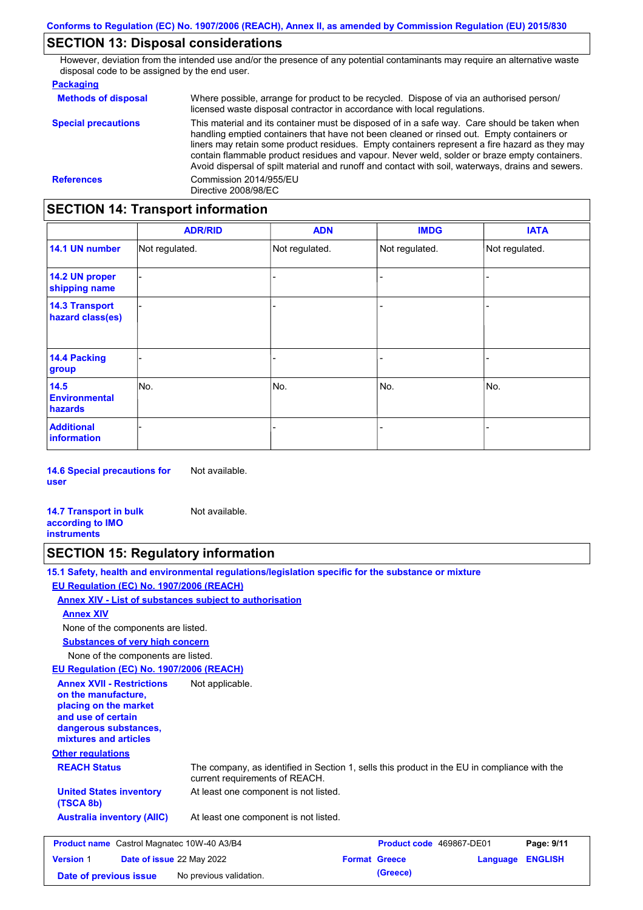### **SECTION 13: Disposal considerations**

However, deviation from the intended use and/or the presence of any potential contaminants may require an alternative waste disposal code to be assigned by the end user.

| <b>Packaging</b>           |                                                                                                                                                                                                                                                                                                                                                                                                                                                                                                 |
|----------------------------|-------------------------------------------------------------------------------------------------------------------------------------------------------------------------------------------------------------------------------------------------------------------------------------------------------------------------------------------------------------------------------------------------------------------------------------------------------------------------------------------------|
| <b>Methods of disposal</b> | Where possible, arrange for product to be recycled. Dispose of via an authorised person/<br>licensed waste disposal contractor in accordance with local regulations.                                                                                                                                                                                                                                                                                                                            |
| <b>Special precautions</b> | This material and its container must be disposed of in a safe way. Care should be taken when<br>handling emptied containers that have not been cleaned or rinsed out. Empty containers or<br>liners may retain some product residues. Empty containers represent a fire hazard as they may<br>contain flammable product residues and vapour. Never weld, solder or braze empty containers.<br>Avoid dispersal of spilt material and runoff and contact with soil, waterways, drains and sewers. |
| <b>References</b>          | Commission 2014/955/EU<br>Directive 2008/98/EC                                                                                                                                                                                                                                                                                                                                                                                                                                                  |

# **SECTION 14: Transport information**

|                                           | <b>ADR/RID</b> | <b>ADN</b>     | <b>IMDG</b>    | <b>IATA</b>    |
|-------------------------------------------|----------------|----------------|----------------|----------------|
| 14.1 UN number                            | Not regulated. | Not regulated. | Not regulated. | Not regulated. |
| 14.2 UN proper<br>shipping name           |                |                |                |                |
| <b>14.3 Transport</b><br>hazard class(es) |                |                |                |                |
| <b>14.4 Packing</b><br>group              |                |                |                |                |
| 14.5<br><b>Environmental</b><br>hazards   | No.            | No.            | No.            | No.            |
| <b>Additional</b><br>information          |                |                |                |                |

**14.6 Special precautions for user** Not available.

**14.7 Transport in bulk according to IMO instruments** Not available.

### **SECTION 15: Regulatory information**

**15.1 Safety, health and environmental regulations/legislation specific for the substance or mixture EU Regulation (EC) No. 1907/2006 (REACH)**

**Date of previous issue** No previous validation. **Conservation** (Greece)

**Annex XIV - List of substances subject to authorisation**

**Annex XIV**

None of the components are listed.

**Substances of very high concern**

None of the components are listed.

**EU Regulation (EC) No. 1907/2006 (REACH)**

| <b>Annex XVII - Restrictions</b><br>on the manufacture.<br>placing on the market<br>and use of certain<br>dangerous substances,<br>mixtures and articles | Not applicable.                                                                                                                |                      |                                 |                |  |
|----------------------------------------------------------------------------------------------------------------------------------------------------------|--------------------------------------------------------------------------------------------------------------------------------|----------------------|---------------------------------|----------------|--|
| <b>Other regulations</b>                                                                                                                                 |                                                                                                                                |                      |                                 |                |  |
| <b>REACH Status</b>                                                                                                                                      | The company, as identified in Section 1, sells this product in the EU in compliance with the<br>current requirements of REACH. |                      |                                 |                |  |
| <b>United States inventory</b><br>(TSCA 8b)                                                                                                              | At least one component is not listed.                                                                                          |                      |                                 |                |  |
| <b>Australia inventory (AIIC)</b>                                                                                                                        | At least one component is not listed.                                                                                          |                      |                                 |                |  |
| <b>Product name</b> Castrol Magnatec 10W-40 A3/B4                                                                                                        |                                                                                                                                |                      | <b>Product code</b> 469867-DE01 | Page: 9/11     |  |
| <b>Version 1</b><br>Date of issue 22 May 2022                                                                                                            |                                                                                                                                | <b>Format Greece</b> | Language                        | <b>ENGLISH</b> |  |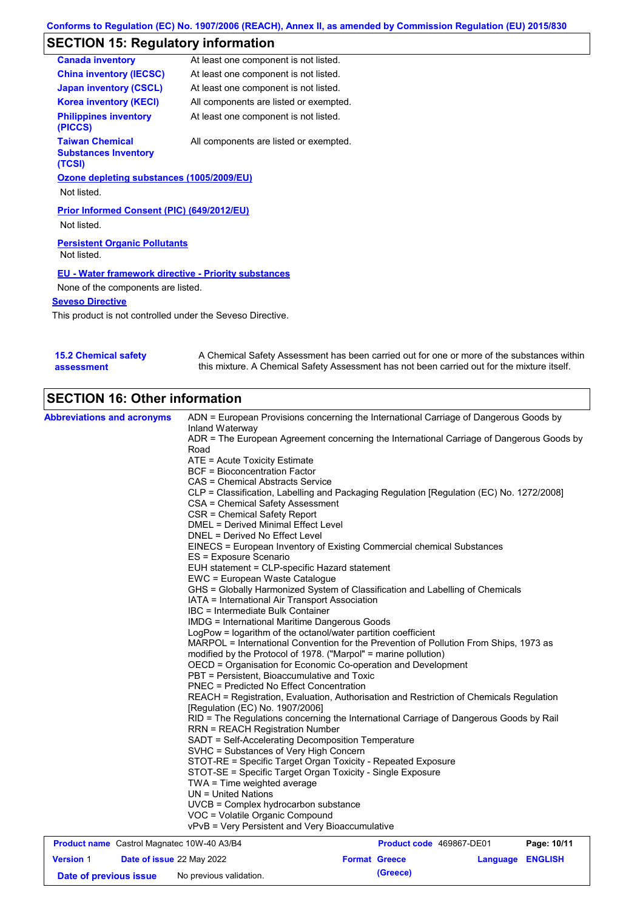# **SECTION 15: Regulatory information**

| At least one component is not listed.                       |
|-------------------------------------------------------------|
| At least one component is not listed.                       |
| At least one component is not listed.                       |
| All components are listed or exempted.                      |
| At least one component is not listed.                       |
| All components are listed or exempted.                      |
| Ozone depleting substances (1005/2009/EU)                   |
|                                                             |
| Prior Informed Consent (PIC) (649/2012/EU)                  |
| <b>Persistent Organic Pollutants</b>                        |
| <b>EU - Water framework directive - Priority substances</b> |
| None of the components are listed.                          |
|                                                             |
|                                                             |

This product is not controlled under the Seveso Directive.

| <b>15.2 Chemical safety</b> | A Chemical Safety Assessment has been carried out for one or more of the substances within  |
|-----------------------------|---------------------------------------------------------------------------------------------|
| assessment                  | this mixture. A Chemical Safety Assessment has not been carried out for the mixture itself. |

# **SECTION 16: Other information**

| <b>Abbreviations and acronyms</b>                 |                           | ADN = European Provisions concerning the International Carriage of Dangerous Goods by                                                                                                                                     |  |                          |                         |             |
|---------------------------------------------------|---------------------------|---------------------------------------------------------------------------------------------------------------------------------------------------------------------------------------------------------------------------|--|--------------------------|-------------------------|-------------|
|                                                   |                           | Inland Waterway<br>ADR = The European Agreement concerning the International Carriage of Dangerous Goods by                                                                                                               |  |                          |                         |             |
|                                                   |                           | Road                                                                                                                                                                                                                      |  |                          |                         |             |
|                                                   |                           | ATE = Acute Toxicity Estimate                                                                                                                                                                                             |  |                          |                         |             |
|                                                   |                           | <b>BCF</b> = Bioconcentration Factor                                                                                                                                                                                      |  |                          |                         |             |
|                                                   |                           | CAS = Chemical Abstracts Service                                                                                                                                                                                          |  |                          |                         |             |
|                                                   |                           | CLP = Classification, Labelling and Packaging Regulation [Regulation (EC) No. 1272/2008]                                                                                                                                  |  |                          |                         |             |
|                                                   |                           | CSA = Chemical Safety Assessment                                                                                                                                                                                          |  |                          |                         |             |
|                                                   |                           | CSR = Chemical Safety Report                                                                                                                                                                                              |  |                          |                         |             |
|                                                   |                           | <b>DMEL = Derived Minimal Effect Level</b>                                                                                                                                                                                |  |                          |                         |             |
|                                                   |                           | DNEL = Derived No Effect Level                                                                                                                                                                                            |  |                          |                         |             |
|                                                   |                           | EINECS = European Inventory of Existing Commercial chemical Substances<br>ES = Exposure Scenario                                                                                                                          |  |                          |                         |             |
|                                                   |                           | EUH statement = CLP-specific Hazard statement                                                                                                                                                                             |  |                          |                         |             |
|                                                   |                           | EWC = European Waste Catalogue                                                                                                                                                                                            |  |                          |                         |             |
|                                                   |                           | GHS = Globally Harmonized System of Classification and Labelling of Chemicals                                                                                                                                             |  |                          |                         |             |
|                                                   |                           | IATA = International Air Transport Association                                                                                                                                                                            |  |                          |                         |             |
|                                                   |                           | IBC = Intermediate Bulk Container                                                                                                                                                                                         |  |                          |                         |             |
|                                                   |                           | <b>IMDG = International Maritime Dangerous Goods</b>                                                                                                                                                                      |  |                          |                         |             |
|                                                   |                           | LogPow = logarithm of the octanol/water partition coefficient                                                                                                                                                             |  |                          |                         |             |
|                                                   |                           | MARPOL = International Convention for the Prevention of Pollution From Ships, 1973 as<br>modified by the Protocol of 1978. ("Marpol" = marine pollution)<br>OECD = Organisation for Economic Co-operation and Development |  |                          |                         |             |
|                                                   |                           |                                                                                                                                                                                                                           |  |                          |                         |             |
|                                                   |                           |                                                                                                                                                                                                                           |  |                          |                         |             |
|                                                   |                           | PBT = Persistent, Bioaccumulative and Toxic<br><b>PNEC = Predicted No Effect Concentration</b>                                                                                                                            |  |                          |                         |             |
|                                                   |                           |                                                                                                                                                                                                                           |  |                          |                         |             |
|                                                   |                           | REACH = Registration, Evaluation, Authorisation and Restriction of Chemicals Regulation<br>[Regulation (EC) No. 1907/2006]                                                                                                |  |                          |                         |             |
|                                                   |                           | RID = The Regulations concerning the International Carriage of Dangerous Goods by Rail<br><b>RRN = REACH Registration Number</b>                                                                                          |  |                          |                         |             |
|                                                   |                           | SADT = Self-Accelerating Decomposition Temperature                                                                                                                                                                        |  |                          |                         |             |
|                                                   |                           | SVHC = Substances of Very High Concern                                                                                                                                                                                    |  |                          |                         |             |
|                                                   |                           | STOT-RE = Specific Target Organ Toxicity - Repeated Exposure                                                                                                                                                              |  |                          |                         |             |
|                                                   |                           | STOT-SE = Specific Target Organ Toxicity - Single Exposure                                                                                                                                                                |  |                          |                         |             |
|                                                   |                           | $TWA = Time$ weighted average                                                                                                                                                                                             |  |                          |                         |             |
|                                                   |                           | $UN = United Nations$                                                                                                                                                                                                     |  |                          |                         |             |
|                                                   |                           | UVCB = Complex hydrocarbon substance                                                                                                                                                                                      |  |                          |                         |             |
|                                                   |                           | VOC = Volatile Organic Compound                                                                                                                                                                                           |  |                          |                         |             |
|                                                   |                           | vPvB = Very Persistent and Very Bioaccumulative                                                                                                                                                                           |  |                          |                         |             |
| <b>Product name</b> Castrol Magnatec 10W-40 A3/B4 |                           |                                                                                                                                                                                                                           |  | Product code 469867-DE01 |                         | Page: 10/11 |
| <b>Version 1</b>                                  | Date of issue 22 May 2022 |                                                                                                                                                                                                                           |  | <b>Format Greece</b>     | <b>Language ENGLISH</b> |             |

**Date of previous issue** No previous validation. **All in the Conventional Convention** (Greece)